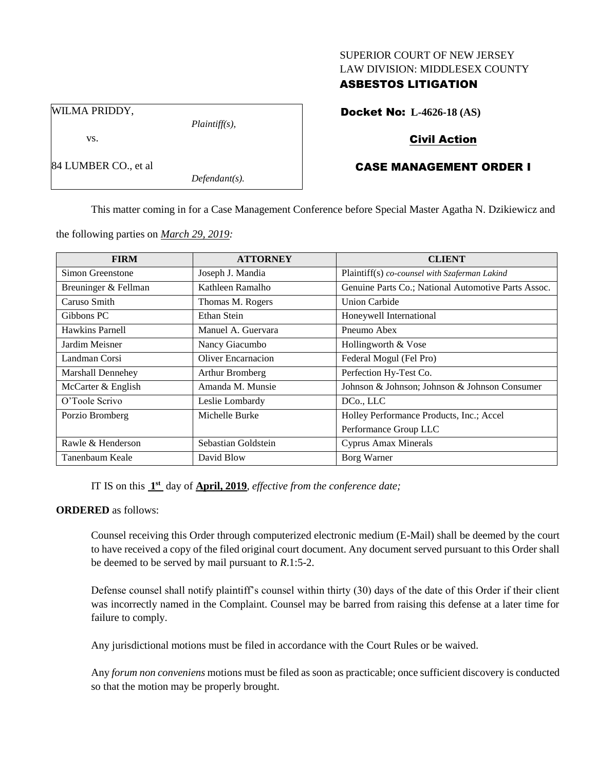### SUPERIOR COURT OF NEW JERSEY LAW DIVISION: MIDDLESEX COUNTY

# ASBESTOS LITIGATION

Docket No: **L-4626-18 (AS)**

WILMA PRIDDY,

84 LUMBER CO., et al

vs.

*Plaintiff(s),*

*Defendant(s).*

# Civil Action

# CASE MANAGEMENT ORDER I

This matter coming in for a Case Management Conference before Special Master Agatha N. Dzikiewicz and

the following parties on *March 29, 2019:*

| <b>FIRM</b>          | <b>ATTORNEY</b>     | <b>CLIENT</b>                                       |
|----------------------|---------------------|-----------------------------------------------------|
| Simon Greenstone     | Joseph J. Mandia    | Plaintiff(s) co-counsel with Szaferman Lakind       |
| Breuninger & Fellman | Kathleen Ramalho    | Genuine Parts Co.; National Automotive Parts Assoc. |
| Caruso Smith         | Thomas M. Rogers    | <b>Union Carbide</b>                                |
| Gibbons PC           | Ethan Stein         | Honeywell International                             |
| Hawkins Parnell      | Manuel A. Guervara  | Pneumo Abex                                         |
| Jardim Meisner       | Nancy Giacumbo      | Hollingworth & Vose                                 |
| Landman Corsi        | Oliver Encarnacion  | Federal Mogul (Fel Pro)                             |
| Marshall Dennehey    | Arthur Bromberg     | Perfection Hy-Test Co.                              |
| McCarter & English   | Amanda M. Munsie    | Johnson & Johnson; Johnson & Johnson Consumer       |
| O'Toole Scrivo       | Leslie Lombardy     | DCo., LLC                                           |
| Porzio Bromberg      | Michelle Burke      | Holley Performance Products, Inc.; Accel            |
|                      |                     | Performance Group LLC                               |
| Rawle & Henderson    | Sebastian Goldstein | <b>Cyprus Amax Minerals</b>                         |
| Tanenbaum Keale      | David Blow          | Borg Warner                                         |

IT IS on this  $1<sup>st</sup>$  day of **April, 2019**, *effective from the conference date*;

#### **ORDERED** as follows:

Counsel receiving this Order through computerized electronic medium (E-Mail) shall be deemed by the court to have received a copy of the filed original court document. Any document served pursuant to this Order shall be deemed to be served by mail pursuant to *R*.1:5-2.

Defense counsel shall notify plaintiff's counsel within thirty (30) days of the date of this Order if their client was incorrectly named in the Complaint. Counsel may be barred from raising this defense at a later time for failure to comply.

Any jurisdictional motions must be filed in accordance with the Court Rules or be waived.

Any *forum non conveniens* motions must be filed as soon as practicable; once sufficient discovery is conducted so that the motion may be properly brought.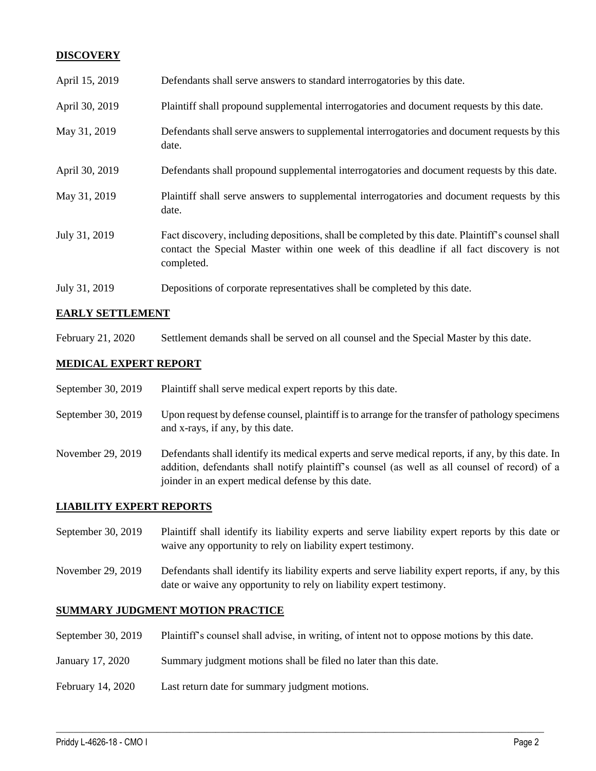# **DISCOVERY**

| April 15, 2019 | Defendants shall serve answers to standard interrogatories by this date.                                                                                                                                    |
|----------------|-------------------------------------------------------------------------------------------------------------------------------------------------------------------------------------------------------------|
| April 30, 2019 | Plaintiff shall propound supplemental interrogatories and document requests by this date.                                                                                                                   |
| May 31, 2019   | Defendants shall serve answers to supplemental interrogatories and document requests by this<br>date.                                                                                                       |
| April 30, 2019 | Defendants shall propound supplemental interrogatories and document requests by this date.                                                                                                                  |
| May 31, 2019   | Plaintiff shall serve answers to supplemental interrogatories and document requests by this<br>date.                                                                                                        |
| July 31, 2019  | Fact discovery, including depositions, shall be completed by this date. Plaintiff's counsel shall<br>contact the Special Master within one week of this deadline if all fact discovery is not<br>completed. |
| July 31, 2019  | Depositions of corporate representatives shall be completed by this date.                                                                                                                                   |

# **EARLY SETTLEMENT**

February 21, 2020 Settlement demands shall be served on all counsel and the Special Master by this date.

# **MEDICAL EXPERT REPORT**

| September 30, 2019 | Plaintiff shall serve medical expert reports by this date. |
|--------------------|------------------------------------------------------------|
|--------------------|------------------------------------------------------------|

- September 30, 2019 Upon request by defense counsel, plaintiff is to arrange for the transfer of pathology specimens and x-rays, if any, by this date.
- November 29, 2019 Defendants shall identify its medical experts and serve medical reports, if any, by this date. In addition, defendants shall notify plaintiff's counsel (as well as all counsel of record) of a joinder in an expert medical defense by this date.

#### **LIABILITY EXPERT REPORTS**

- September 30, 2019 Plaintiff shall identify its liability experts and serve liability expert reports by this date or waive any opportunity to rely on liability expert testimony.
- November 29, 2019 Defendants shall identify its liability experts and serve liability expert reports, if any, by this date or waive any opportunity to rely on liability expert testimony.

### **SUMMARY JUDGMENT MOTION PRACTICE**

September 30, 2019 Plaintiff's counsel shall advise, in writing, of intent not to oppose motions by this date.

 $\_$  ,  $\_$  ,  $\_$  ,  $\_$  ,  $\_$  ,  $\_$  ,  $\_$  ,  $\_$  ,  $\_$  ,  $\_$  ,  $\_$  ,  $\_$  ,  $\_$  ,  $\_$  ,  $\_$  ,  $\_$  ,  $\_$  ,  $\_$  ,  $\_$  ,  $\_$  ,  $\_$  ,  $\_$  ,  $\_$  ,  $\_$  ,  $\_$  ,  $\_$  ,  $\_$  ,  $\_$  ,  $\_$  ,  $\_$  ,  $\_$  ,  $\_$  ,  $\_$  ,  $\_$  ,  $\_$  ,  $\_$  ,  $\_$  ,

- January 17, 2020 Summary judgment motions shall be filed no later than this date.
- February 14, 2020 Last return date for summary judgment motions.